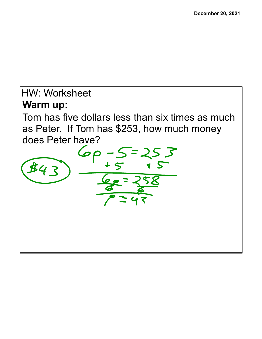## HW: Worksheet**Warm up:** Tom has five dollars less than six times as much as Peter. If Tom has \$253, how much money does Peter have?  $#4$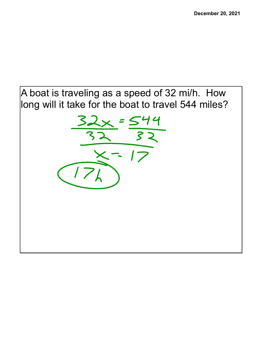## A boat is traveling as a speed of 32 mi/h. How long will it take for the boat to travel 544 miles?

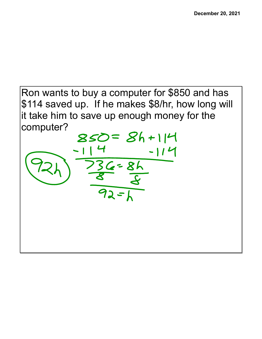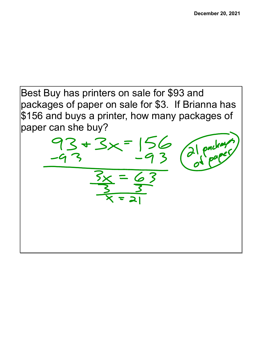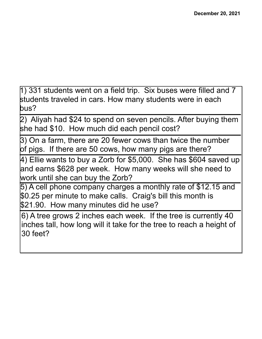1) 331 students went on a field trip. Six buses were filled and 7 students traveled in cars. How many students were in each bus?

2) Aliyah had \$24 to spend on seven pencils. After buying them she had \$10. How much did each pencil cost?

3) On a farm, there are 20 fewer cows than twice the number of pigs. If there are 50 cows, how many pigs are there?

4) Ellie wants to buy a Zorb for \$5,000. She has \$604 saved up and earns \$628 per week. How many weeks will she need to work until she can buy the Zorb?

5) A cell phone company charges a monthly rate of \$12.15 and \$0.25 per minute to make calls. Craig's bill this month is \$21.90. How many minutes did he use?

6) A tree grows 2 inches each week. If the tree is currently 40 inches tall, how long will it take for the tree to reach a height of 30 feet?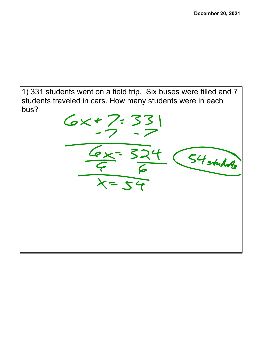1) 331 students went on a field trip. Six buses were filled and 7 students traveled in cars. How many students were in each bus?

 $6x+7:331$  $\frac{6x}{5} = 324$ - (54 stuluts  $x = 54$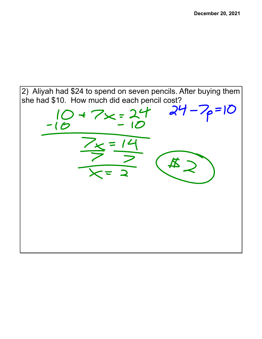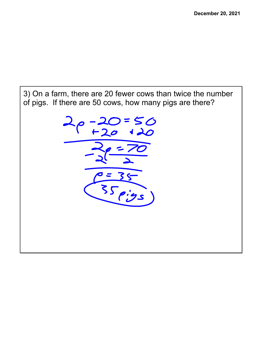3) On a farm, there are 20 fewer cows than twice the number of pigs. If there are 50 cows, how many pigs are there?

 $=50$  $\frac{e=35}{35eigs}$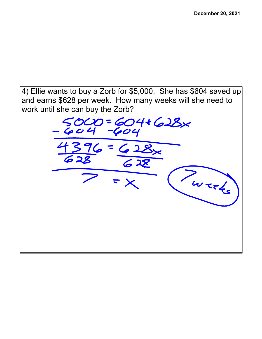4) Ellie wants to buy a Zorb for \$5,000. She has \$604 saved up and earns \$628 per week. How many weeks will she need to work until she can buy the Zorb?

 $5000 = 604+628x$ Werks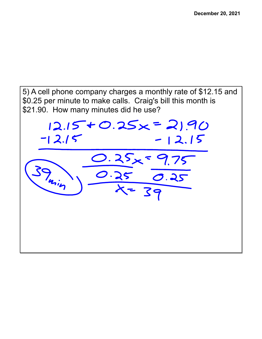5) A cell phone company charges a monthly rate of \$12.15 and \$0.25 per minute to make calls. Craig's bill this month is \$21.90. How many minutes did he use?

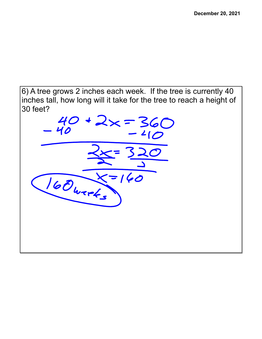6) A tree grows 2 inches each week. If the tree is currently 40 inches tall, how long will it take for the tree to reach a height of 30 feet?

 $40 + 2x = 360$ 40 160 weeks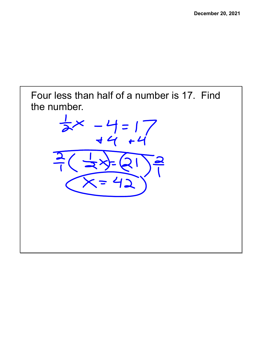